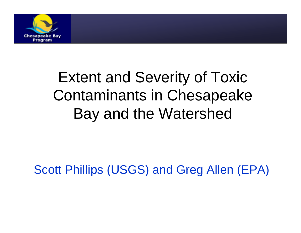

#### Extent and Severity of Toxic Contaminants in Chesa peake Bay and the Watershed

Scott Phillips (USGS) and Greg Allen (EPA)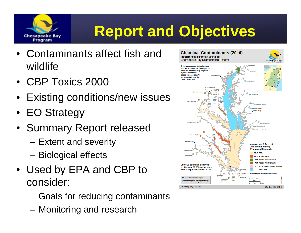

#### **Report and Objectives**

- Contaminants affect fish and wildlife
- CBP Toxics 2000
- Existin g conditions/new issues
- EO Strategy
- Summary Report released
	- –Extent and severity
	- –Biological effects
- Used by EPA and CBP to consider:
	- Goals for reducing contaminants
	- Monitoring and research

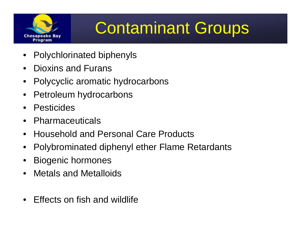

# Contaminant Groups

- $\bullet$ Polychlorinated biphenyls
- $\bullet$ Dioxins and Furans
- $\bullet$ Polycyclic aromatic hydrocarbons
- $\bullet$ Petroleum hydrocarbons
- $\bullet$ **Pesticides**
- $\bullet$ Pharmaceuticals
- $\bullet$ • Household and Personal Care Products
- •Polybrominated diphenyl ether Flame Retardants
- •Biogenic hormones
- $\bullet$ Metals and Metalloids
- $\bullet$ Effects on fish and wildlife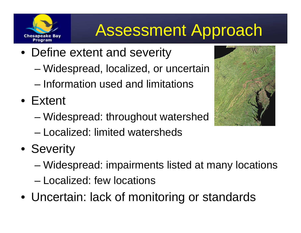#### Assessment Approach

- Define extent and severity
	- Widespread, localized, or uncertain
	- Information used and limitations
- Extent

Chesapeake Bav

- Widespread: throughout watershed
- Localized: limited watersheds
- Severity
	- Widespread: impairments listed at many locations
	- Localized: few locations
- Uncertain: lack of monitoring or standards

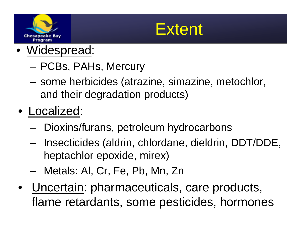



- • Widespread:
	- PCBs, PAHs, Mercury
	- – some herbicides (atrazine, simazine, metochlor, and their degradation products)
- Localized:
	- –– Dioxins/furans, petroleum hydrocarbons
	- – Insecticides (aldrin, chlordane, dieldrin, DDT/DDE, heptachlor epoxide, mirex)
	- Metals: Al, Cr, Fe, Pb, Mn, Zn
- Uncertain: pharmaceuticals, care products, flame retardants, some pesticides, hormones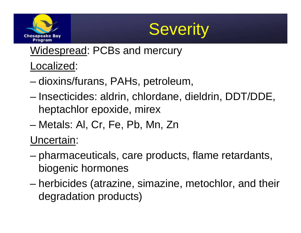



Widespread: PCBs and mercury

#### Localized:

- dioxins/furans, PAHs, petroleum,
- Insecticides: aldrin, chlordane, dieldrin, DDT/DDE, heptachlor epoxide, mirex
- –Metals: Al, Cr, Fe, Pb, Mn, Zn

Uncertain:

- pharmaceuticals, care products, flame retardants, biogenic hormones
- – herbicides (atrazine, simazine, metochlor, and their degradation products)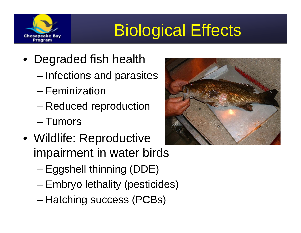

# Biological Effects

- Degraded fish health
	- Infections and parasites
	- Feminization
	- –Reduced reproduction
	- Tumors
- Wildlife: Reproductive impairment in water birds
	- –Eggshell thinning (DDE)
	- Embryo lethality (pesticides)
	- –Hatching success (PCBs)

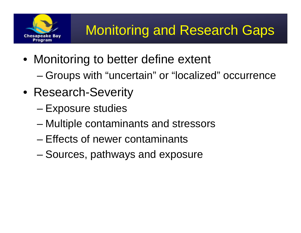

- Monitoring to better define extent
	- Groups with "uncertain" or "localized" occurrence
- Research-Severity
	- –Exposure studies
	- Multiple contaminants and stressors
	- Effects of newer contaminants
	- –Sources, pathways and exposure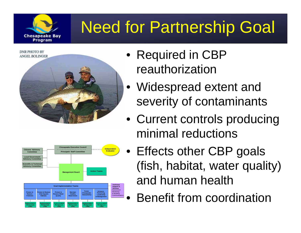### Need for Partnership Goal



Chesapeake Bav Program



- Required in CBP reauthorization
- Widespread extent and severity of contaminants
- Current controls producing minimal reductions
- Effects other CBP goals (fish, habitat, water quality) and human health
	- •Benefit from coordination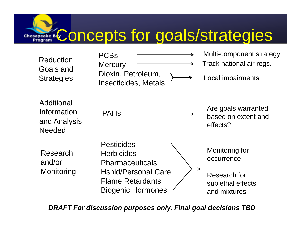### Concepts for goals/strategies

| Reduction<br>Goals and<br><b>Strategies</b>                | <b>PCBs</b><br><b>Mercury</b><br>Dioxin, Petroleum,<br>Insecticides, Metals       | Multi-component strategy<br>Track national air regs.<br>Local impairments |
|------------------------------------------------------------|-----------------------------------------------------------------------------------|---------------------------------------------------------------------------|
| Additional<br>Information<br>and Analysis<br><b>Needed</b> | <b>PAHs</b>                                                                       | Are goals warranted<br>based on extent and<br>effects?                    |
| Research<br>and/or<br>Monitoring                           | <b>Pesticides</b><br><b>Herbicides</b><br><b>Pharmaceuticals</b>                  | Monitoring for<br>occurrence                                              |
|                                                            | <b>HshId/Personal Care</b><br><b>Flame Retardants</b><br><b>Biogenic Hormones</b> | Research for<br>sublethal effects<br>and mixtures                         |

*DRAFT For discussion purposes only. Final goal decisions TBD*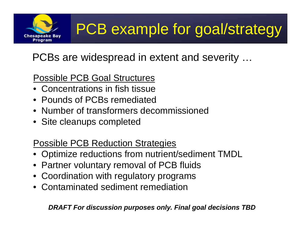

#### PCBs are widespread in extent and severity …

#### Possible PCB Goal Structures

- Concentrations in fish tissue
- Pounds of PCBs remediated
- Number of transformers decommissioned
- Site cleanups completed

#### Possible PCB Reduction Strategies

- Optimize reductions from nutrient/sediment TMDL
- Partner voluntary removal of PCB fluids
- Coordination with regulatory programs
- Contaminated sediment remediation

*DRAFT For discussion purposes only. Final goal decisions TBD*